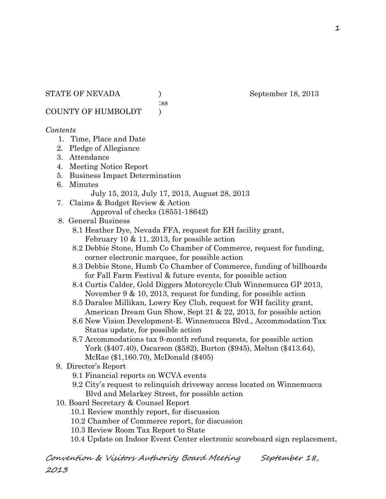:ss

COUNTY OF HUMBOLDT )

### *Contents*

- 1. Time, Place and Date
- 2. Pledge of Allegiance
- 3. Attendance
- 4. Meeting Notice Report
- 5. Business Impact Determination
- 6. Minutes

July 15, 2013, July 17, 2013, August 28, 2013

- 7. Claims & Budget Review & Action Approval of checks (18551-18642)
- 8. General Business
	- 8.1 Heather Dye, Nevada FFA, request for EH facility grant, February 10 & 11, 2013, for possible action
	- 8.2 Debbie Stone, Humb Co Chamber of Commerce, request for funding, corner electronic marquee, for possible action
	- 8.3 Debbie Stone, Humb Co Chamber of Commerce, funding of billboards for Fall Farm Festival & future events, for possible action
	- 8.4 Curtis Calder, Gold Diggers Motorcycle Club Winnemucca GP 2013, November 9 & 10, 2013, request for funding, for possible action
	- 8.5 Daralee Millikan, Lowry Key Club, request for WH facility grant, American Dream Gun Show, Sept 21 & 22, 2013, for possible action
	- 8.6 New Vision Development-E. Winnemucca Blvd., Accommodation Tax Status update, for possible action
	- 8.7 Accommodations tax 9-month refund requests, for possible action York (\$407.40), Oscarson (\$582), Burton (\$945), Melton (\$413.64), McRae (\$1,160.70), McDonald (\$405)
- 9. Director's Report
	- 9.1 Financial reports on WCVA events
	- 9.2 City's request to relinquish driveway access located on Winnemucca Blvd and Melarkey Street, for possible action
- 10. Board Secretary & Counsel Report
	- 10.1 Review monthly report, for discussion
	- 10.2 Chamber of Commerce report, for discussion
	- 10.3 Review Room Tax Report to State
	- 10.4 Update on Indoor Event Center electronic scoreboard sign replacement,

Convention & Visitors Authority Board Meeting September 18, 2013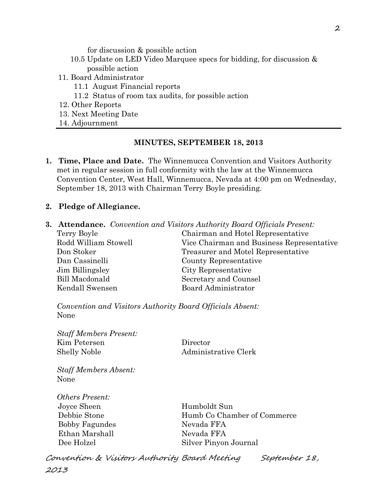for discussion & possible action

- 10.5 Update on LED Video Marquee specs for bidding, for discussion & possible action
- 11. Board Administrator
	- 11.1 August Financial reports
	- 11.2 Status of room tax audits, for possible action
- 12. Other Reports
- 13. Next Meeting Date
- 14. Adjournment

### **MINUTES, SEPTEMBER 18, 2013**

- **1. Time, Place and Date.** The Winnemucca Convention and Visitors Authority met in regular session in full conformity with the law at the Winnemucca Convention Center, West Hall, Winnemucca, Nevada at 4:00 pm on Wednesday, September 18, 2013 with Chairman Terry Boyle presiding.
- **2. Pledge of Allegiance.**
- **3. Attendance.** *Convention and Visitors Authority Board Officials Present:*

| Terry Boyle          | Chairman and Hotel Representative         |  |
|----------------------|-------------------------------------------|--|
| Rodd William Stowell | Vice Chairman and Business Representative |  |
| Don Stoker           | Treasurer and Motel Representative        |  |
| Dan Cassinelli       | County Representative                     |  |
| Jim Billingsley      | City Representative                       |  |
| Bill Macdonald       | Secretary and Counsel                     |  |
| Kendall Swensen      | Board Administrator                       |  |

*Convention and Visitors Authority Board Officials Absent:* None

*Staff Members Present:* Kim Petersen Director Shelly Noble Administrative Clerk

*Staff Members Absent:* None

*Others Present:* Joyce Sheen Humboldt Sun Bobby Fagundes Nevada FFA Ethan Marshall Nevada FFA

 Debbie Stone Humb Co Chamber of Commerce Dee Holzel Silver Pinyon Journal

Convention & Visitors Authority Board Meeting September 18, 2013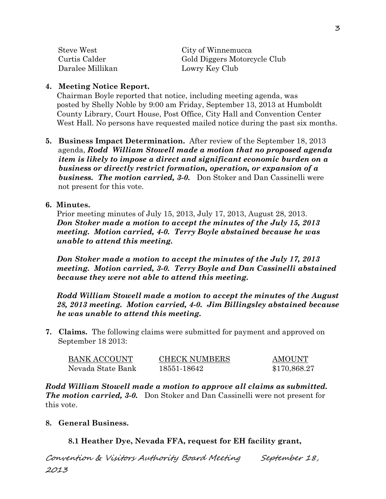| Steve West       | City of Winnemucca           |
|------------------|------------------------------|
| Curtis Calder    | Gold Diggers Motorcycle Club |
| Daralee Millikan | Lowry Key Club               |

### **4. Meeting Notice Report.**

Chairman Boyle reported that notice, including meeting agenda, was posted by Shelly Noble by 9:00 am Friday, September 13, 2013 at Humboldt County Library, Court House, Post Office, City Hall and Convention Center West Hall. No persons have requested mailed notice during the past six months.

**5. Business Impact Determination.** After review of the September 18, 2013 agenda, *Rodd William Stowell made a motion that no proposed agenda item is likely to impose a direct and significant economic burden on a business or directly restrict formation, operation, or expansion of a business. The motion carried, 3-0.* Don Stoker and Dan Cassinelli were not present for this vote.

### **6. Minutes.**

Prior meeting minutes of July 15, 2013, July 17, 2013, August 28, 2013. *Don Stoker made a motion to accept the minutes of the July 15, 2013 meeting. Motion carried, 4-0. Terry Boyle abstained because he was unable to attend this meeting.*

*Don Stoker made a motion to accept the minutes of the July 17, 2013 meeting. Motion carried, 3-0. Terry Boyle and Dan Cassinelli abstained because they were not able to attend this meeting.*

*Rodd William Stowell made a motion to accept the minutes of the August 28, 2013 meeting. Motion carried, 4-0. Jim Billingsley abstained because he was unable to attend this meeting.*

**7. Claims.** The following claims were submitted for payment and approved on September 18 2013:

| BANK ACCOUNT      | <b>CHECK NUMBERS</b> | <b>AMOUNT</b> |
|-------------------|----------------------|---------------|
| Nevada State Bank | 18551-18642          | \$170,868.27  |

*Rodd William Stowell made a motion to approve all claims as submitted. The motion carried, 3-0.* Don Stoker and Dan Cassinelli were not present for this vote.

#### **8. General Business.**

### **8.1 Heather Dye, Nevada FFA, request for EH facility grant,**

Convention & Visitors Authority Board Meeting September 18, 2013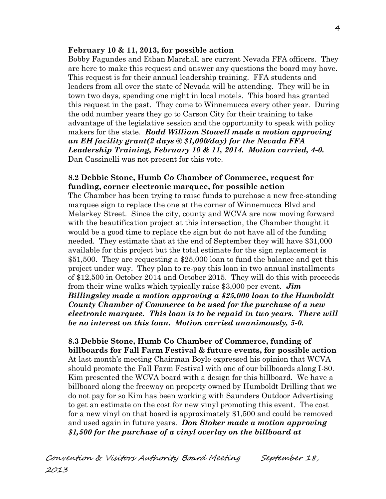#### **February 10 & 11, 2013, for possible action**

 Bobby Fagundes and Ethan Marshall are current Nevada FFA officers. They are here to make this request and answer any questions the board may have. This request is for their annual leadership training. FFA students and leaders from all over the state of Nevada will be attending. They will be in town two days, spending one night in local motels. This board has granted this request in the past. They come to Winnemucca every other year. During the odd number years they go to Carson City for their training to take advantage of the legislative session and the opportunity to speak with policy makers for the state. *Rodd William Stowell made a motion approving an EH facility grant(2 days @ \$1,000/day) for the Nevada FFA Leadership Training, February 10 & 11, 2014. Motion carried, 4-0.*  Dan Cassinelli was not present for this vote.

#### **8.2 Debbie Stone, Humb Co Chamber of Commerce, request for funding, corner electronic marquee, for possible action**

The Chamber has been trying to raise funds to purchase a new free-standing marquee sign to replace the one at the corner of Winnemucca Blvd and Melarkey Street. Since the city, county and WCVA are now moving forward with the beautification project at this intersection, the Chamber thought it would be a good time to replace the sign but do not have all of the funding needed. They estimate that at the end of September they will have \$31,000 available for this project but the total estimate for the sign replacement is \$51,500. They are requesting a \$25,000 loan to fund the balance and get this project under way. They plan to re-pay this loan in two annual installments of \$12,500 in October 2014 and October 2015. They will do this with proceeds from their wine walks which typically raise \$3,000 per event. *Jim Billingsley made a motion approving a \$25,000 loan to the Humboldt County Chamber of Commerce to be used for the purchase of a new electronic marquee. This loan is to be repaid in two years. There will be no interest on this loan. Motion carried unanimously, 5-0.*

**8.3 Debbie Stone, Humb Co Chamber of Commerce, funding of billboards for Fall Farm Festival & future events, for possible action** At last month's meeting Chairman Boyle expressed his opinion that WCVA should promote the Fall Farm Festival with one of our billboards along I-80. Kim presented the WCVA board with a design for this billboard. We have a billboard along the freeway on property owned by Humboldt Drilling that we do not pay for so Kim has been working with Saunders Outdoor Advertising to get an estimate on the cost for new vinyl promoting this event. The cost for a new vinyl on that board is approximately \$1,500 and could be removed and used again in future years. *Don Stoker made a motion approving \$1,500 for the purchase of a vinyl overlay on the billboard at*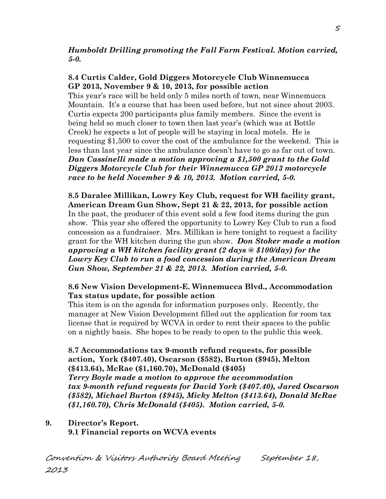## *Humboldt Drilling promoting the Fall Farm Festival. Motion carried, 5-0.*

## **8.4 Curtis Calder, Gold Diggers Motorcycle Club Winnemucca GP 2013, November 9 & 10, 2013, for possible action**

This year's race will be held only 5 miles north of town, near Winnemucca Mountain. It's a course that has been used before, but not since about 2003. Curtis expects 200 participants plus family members. Since the event is being held so much closer to town then last year's (which was at Bottle Creek) he expects a lot of people will be staying in local motels. He is requesting \$1,500 to cover the cost of the ambulance for the weekend. This is less than last year since the ambulance doesn't have to go as far out of town. *Dan Cassinelli made a motion approving a \$1,500 grant to the Gold Diggers Motorcycle Club for their Winnemucca GP 2013 motorcycle race to be held November 9 & 10, 2013. Motion carried, 5-0.* 

**8.5 Daralee Millikan, Lowry Key Club, request for WH facility grant, American Dream Gun Show, Sept 21 & 22, 2013, for possible action** In the past, the producer of this event sold a few food items during the gun show. This year she offered the opportunity to Lowry Key Club to run a food concession as a fundraiser. Mrs. Millikan is here tonight to request a facility grant for the WH kitchen during the gun show. *Don Stoker made a motion approving a WH kitchen facility grant (2 days @ \$100/day) for the Lowry Key Club to run a food concession during the American Dream Gun Show, September 21 & 22, 2013. Motion carried, 5-0.* 

### **8.6 New Vision Development-E. Winnemucca Blvd., Accommodation Tax status update, for possible action**

This item is on the agenda for information purposes only. Recently, the manager at New Vision Development filled out the application for room tax license that is required by WCVA in order to rent their spaces to the public on a nightly basis. She hopes to be ready to open to the public this week.

**8.7 Accommodations tax 9-month refund requests, for possible action, York (\$407.40), Oscarson (\$582), Burton (\$945), Melton (\$413.64), McRae (\$1,160.70), McDonald (\$405)** *Terry Boyle made a motion to approve the accommodation tax 9-month refund requests for David York (\$407.40), Jared Oscarson (\$582), Michael Burton (\$945), Micky Melton (\$413.64), Donald McRae (\$1,160.70), Chris McDonald (\$405). Motion carried, 5-0.* 

# **9. Director's Report. 9.1 Financial reports on WCVA events**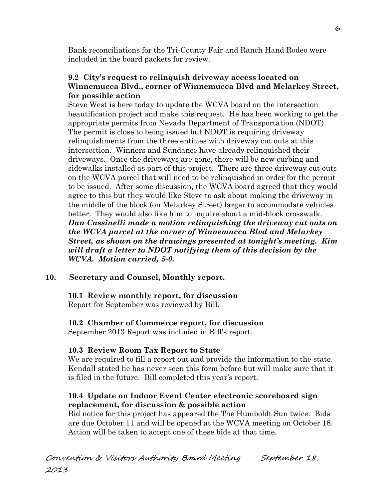Bank reconciliations for the Tri-County Fair and Ranch Hand Rodeo were included in the board packets for review.

## **9.2 City's request to relinquish driveway access located on Winnemucca Blvd., corner of Winnemucca Blvd and Melarkey Street, for possible action**

Steve West is here today to update the WCVA board on the intersection beautification project and make this request. He has been working to get the appropriate permits from Nevada Department of Transportation (NDOT). The permit is close to being issued but NDOT is requiring driveway relinquishments from the three entities with driveway cut outs at this intersection. Winners and Sundance have already relinquished their driveways. Once the driveways are gone, there will be new curbing and sidewalks installed as part of this project. There are three driveway cut outs on the WCVA parcel that will need to be relinquished in order for the permit to be issued. After some discussion, the WCVA board agreed that they would agree to this but they would like Steve to ask about making the driveway in the middle of the block (on Melarkey Street) larger to accommodate vehicles better. They would also like him to inquire about a mid-block crosswalk. *Dan Cassinelli made a motion relinquishing the driveway cut outs on the WCVA parcel at the corner of Winnemucca Blvd and Melarkey Street, as shown on the drawings presented at tonight's meeting. Kim will draft a letter to NDOT notifying them of this decision by the WCVA. Motion carried, 5-0.* 

# **10. Secretary and Counsel, Monthly report.**

## **10.1 Review monthly report, for discussion**

Report for September was reviewed by Bill.

# **10.2 Chamber of Commerce report, for discussion**

September 2013 Report was included in Bill's report.

# **10.3 Review Room Tax Report to State**

We are required to fill a report out and provide the information to the state. Kendall stated he has never seen this form before but will make sure that it is filed in the future. Bill completed this year's report.

# **10.4 Update on Indoor Event Center electronic scoreboard sign replacement, for discussion & possible action**

Bid notice for this project has appeared the The Humboldt Sun twice. Bids are due October 11 and will be opened at the WCVA meeting on October 18. Action will be taken to accept one of these bids at that time.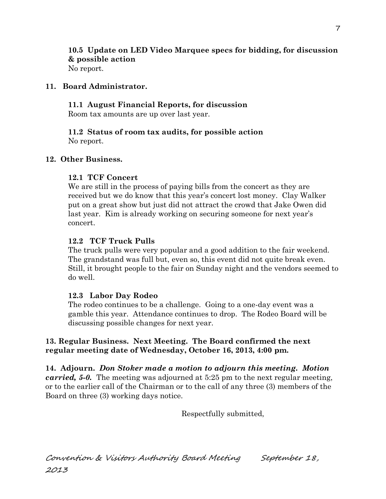**10.5 Update on LED Video Marquee specs for bidding, for discussion & possible action** No report.

## **11. Board Administrator.**

**11.1 August Financial Reports, for discussion**

Room tax amounts are up over last year.

**11.2 Status of room tax audits, for possible action**  No report.

## **12. Other Business.**

## **12.1 TCF Concert**

We are still in the process of paying bills from the concert as they are received but we do know that this year's concert lost money. Clay Walker put on a great show but just did not attract the crowd that Jake Owen did last year. Kim is already working on securing someone for next year's concert.

### **12.2 TCF Truck Pulls**

The truck pulls were very popular and a good addition to the fair weekend. The grandstand was full but, even so, this event did not quite break even. Still, it brought people to the fair on Sunday night and the vendors seemed to do well.

## **12.3 Labor Day Rodeo**

The rodeo continues to be a challenge. Going to a one-day event was a gamble this year. Attendance continues to drop. The Rodeo Board will be discussing possible changes for next year.

### **13. Regular Business. Next Meeting. The Board confirmed the next regular meeting date of Wednesday, October 16, 2013, 4:00 pm.**

**14. Adjourn.** *Don Stoker made a motion to adjourn this meeting. Motion carried, 5-0.* The meeting was adjourned at 5:25 pm to the next regular meeting, or to the earlier call of the Chairman or to the call of any three (3) members of the Board on three (3) working days notice.

Respectfully submitted,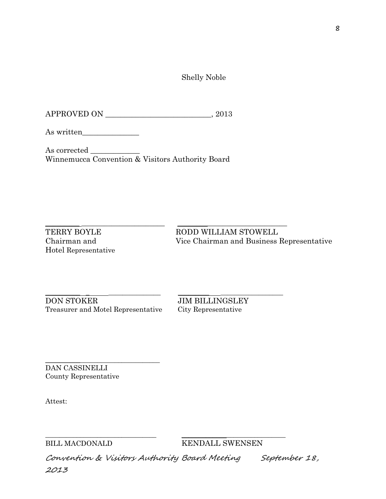Shelly Noble

APPROVED ON \_\_\_\_\_\_\_\_\_\_\_\_\_\_\_\_\_\_\_\_\_\_\_\_\_\_\_\_, 2013

As written\_\_\_\_\_\_\_\_\_\_\_\_\_\_\_

As corrected \_\_\_\_\_\_\_\_\_\_\_\_\_ Winnemucca Convention & Visitors Authority Board

 $\_$  ,  $\_$  ,  $\_$  ,  $\_$  ,  $\_$  ,  $\_$  ,  $\_$  ,  $\_$  ,  $\_$  ,  $\_$  ,  $\_$  ,  $\_$  ,  $\_$  ,  $\_$  ,  $\_$  ,  $\_$  ,  $\_$  ,  $\_$  ,  $\_$  ,  $\_$  ,  $\_$  ,  $\_$  ,  $\_$  ,  $\_$  ,  $\_$  ,  $\_$  ,  $\_$  ,  $\_$  ,  $\_$  ,  $\_$  ,  $\_$  ,  $\_$  ,  $\_$  ,  $\_$  ,  $\_$  ,  $\_$  ,  $\_$  , Hotel Representative

TERRY BOYLE RODD WILLIAM STOWELL Chairman and Vice Chairman and Business Representative

\_\_\_\_\_\_\_\_\_\_ \_ \_\_\_\_\_\_\_\_\_\_\_\_\_\_\_ \_\_\_\_\_\_\_\_\_ \_\_\_\_\_\_\_\_\_\_\_\_\_\_\_\_\_\_ DON STOKER JIM BILLINGSLEY Treasurer and Motel Representative City Representative

\_\_\_\_\_\_\_\_\_\_\_\_\_\_\_\_\_\_\_\_\_\_\_\_\_\_\_\_\_\_\_\_\_ DAN CASSINELLI County Representative

Attest:

BILL MACDONALD KENDALL SWENSEN

Convention & Visitors Authority Board Meeting September 18, 2013

\_\_\_\_\_\_\_\_\_\_\_\_\_\_\_\_\_\_\_\_\_\_\_\_\_\_\_\_\_\_\_\_ \_\_\_\_\_\_\_\_\_\_\_\_\_\_\_\_\_\_\_\_\_\_\_\_\_\_\_\_\_\_